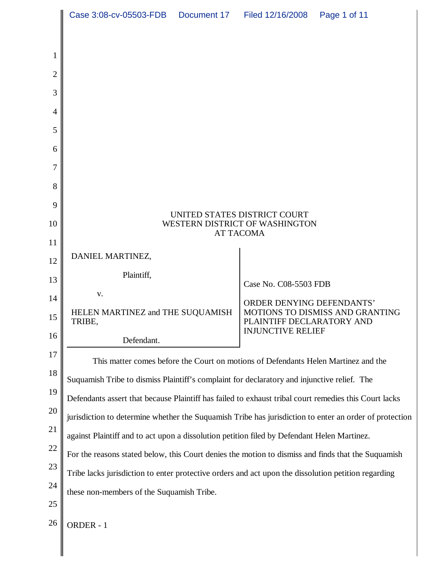|                | Case 3:08-cv-05503-FDB  Document 17  Filed 12/16/2008                                                  |  |                                  | Page 1 of 11                    |
|----------------|--------------------------------------------------------------------------------------------------------|--|----------------------------------|---------------------------------|
|                |                                                                                                        |  |                                  |                                 |
| 1              |                                                                                                        |  |                                  |                                 |
| $\overline{2}$ |                                                                                                        |  |                                  |                                 |
| 3              |                                                                                                        |  |                                  |                                 |
| 4              |                                                                                                        |  |                                  |                                 |
| 5              |                                                                                                        |  |                                  |                                 |
| 6              |                                                                                                        |  |                                  |                                 |
| 7              |                                                                                                        |  |                                  |                                 |
| 8              |                                                                                                        |  |                                  |                                 |
| 9              | UNITED STATES DISTRICT COURT<br>WESTERN DISTRICT OF WASHINGTON<br><b>AT TACOMA</b>                     |  |                                  |                                 |
| 10             |                                                                                                        |  |                                  |                                 |
| 11             |                                                                                                        |  |                                  |                                 |
| 12             | DANIEL MARTINEZ,                                                                                       |  |                                  |                                 |
| 13             | Plaintiff,                                                                                             |  | Case No. C08-5503 FDB            |                                 |
| 14             | V.                                                                                                     |  | <b>ORDER DENYING DEFENDANTS'</b> |                                 |
| 15             | HELEN MARTINEZ and THE SUQUAMISH<br>TRIBE,                                                             |  | PLAINTIFF DECLARATORY AND        | MOTIONS TO DISMISS AND GRANTING |
| 16             | Defendant.                                                                                             |  | <b>INJUNCTIVE RELIEF</b>         |                                 |
| 17             | This matter comes before the Court on motions of Defendants Helen Martinez and the                     |  |                                  |                                 |
| 18             | Suquamish Tribe to dismiss Plaintiff's complaint for declaratory and injunctive relief. The            |  |                                  |                                 |
| 19             | Defendants assert that because Plaintiff has failed to exhaust tribal court remedies this Court lacks  |  |                                  |                                 |
| 20             | jurisdiction to determine whether the Suquamish Tribe has jurisdiction to enter an order of protection |  |                                  |                                 |
| 21             | against Plaintiff and to act upon a dissolution petition filed by Defendant Helen Martinez.            |  |                                  |                                 |
| 22             | For the reasons stated below, this Court denies the motion to dismiss and finds that the Suquamish     |  |                                  |                                 |
| 23             | Tribe lacks jurisdiction to enter protective orders and act upon the dissolution petition regarding    |  |                                  |                                 |
| 24             | these non-members of the Suquamish Tribe.                                                              |  |                                  |                                 |
| 25             |                                                                                                        |  |                                  |                                 |
| 26             | ORDER - 1                                                                                              |  |                                  |                                 |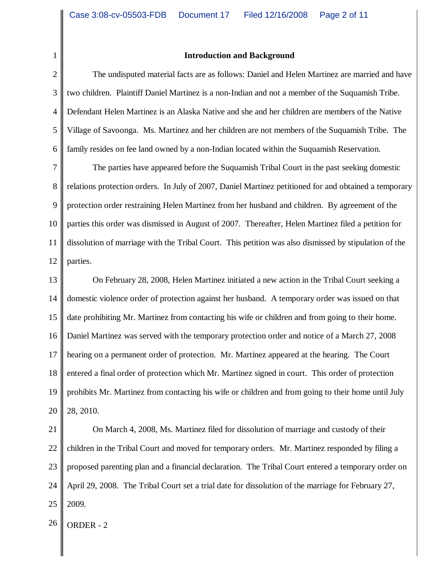#### **Introduction and Background**

2 3 4 5 6 The undisputed material facts are as follows: Daniel and Helen Martinez are married and have two children. Plaintiff Daniel Martinez is a non-Indian and not a member of the Suquamish Tribe. Defendant Helen Martinez is an Alaska Native and she and her children are members of the Native Village of Savoonga. Ms. Martinez and her children are not members of the Suquamish Tribe. The family resides on fee land owned by a non-Indian located within the Suquamish Reservation.

7 8 9 10 11 12 The parties have appeared before the Suquamish Tribal Court in the past seeking domestic relations protection orders. In July of 2007, Daniel Martinez petitioned for and obtained a temporary protection order restraining Helen Martinez from her husband and children. By agreement of the parties this order was dismissed in August of 2007. Thereafter, Helen Martinez filed a petition for dissolution of marriage with the Tribal Court. This petition was also dismissed by stipulation of the parties.

13 14 15 16 17 18 19 20 On February 28, 2008, Helen Martinez initiated a new action in the Tribal Court seeking a domestic violence order of protection against her husband. A temporary order was issued on that date prohibiting Mr. Martinez from contacting his wife or children and from going to their home. Daniel Martinez was served with the temporary protection order and notice of a March 27, 2008 hearing on a permanent order of protection. Mr. Martinez appeared at the hearing. The Court entered a final order of protection which Mr. Martinez signed in court. This order of protection prohibits Mr. Martinez from contacting his wife or children and from going to their home until July 28, 2010.

21 22 23 24 25 On March 4, 2008, Ms. Martinez filed for dissolution of marriage and custody of their children in the Tribal Court and moved for temporary orders. Mr. Martinez responded by filing a proposed parenting plan and a financial declaration. The Tribal Court entered a temporary order on April 29, 2008. The Tribal Court set a trial date for dissolution of the marriage for February 27, 2009.

 $26$  ORDER - 2

1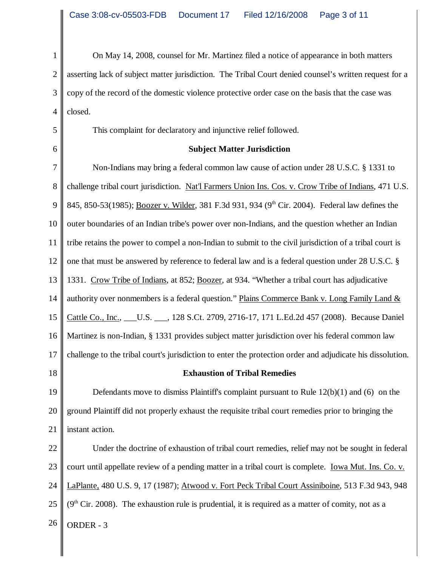1 2 3 4 On May 14, 2008, counsel for Mr. Martinez filed a notice of appearance in both matters asserting lack of subject matter jurisdiction. The Tribal Court denied counsel's written request for a copy of the record of the domestic violence protective order case on the basis that the case was closed.

This complaint for declaratory and injunctive relief followed.

# **Subject Matter Jurisdiction**

7 8 9 10 11 12 13 14 15 16 17 Non-Indians may bring a federal common law cause of action under 28 U.S.C. § 1331 to challenge tribal court jurisdiction. Nat'l Farmers Union Ins. Cos. v. Crow Tribe of Indians, 471 U.S. 845, 850-53(1985); Boozer v. Wilder, 381 F.3d 931, 934 (9<sup>th</sup> Cir. 2004). Federal law defines the outer boundaries of an Indian tribe's power over non-Indians, and the question whether an Indian tribe retains the power to compel a non-Indian to submit to the civil jurisdiction of a tribal court is one that must be answered by reference to federal law and is a federal question under 28 U.S.C. § 1331. Crow Tribe of Indians, at 852; Boozer, at 934. "Whether a tribal court has adjudicative authority over nonmembers is a federal question." Plains Commerce Bank v. Long Family Land & Cattle Co., Inc., \_\_\_U.S. \_\_\_, 128 S.Ct. 2709, 2716-17, 171 L.Ed.2d 457 (2008). Because Daniel Martinez is non-Indian, § 1331 provides subject matter jurisdiction over his federal common law challenge to the tribal court's jurisdiction to enter the protection order and adjudicate his dissolution.

18

5

6

## **Exhaustion of Tribal Remedies**

19 20 21 Defendants move to dismiss Plaintiff's complaint pursuant to Rule 12(b)(1) and (6) on the ground Plaintiff did not properly exhaust the requisite tribal court remedies prior to bringing the instant action.

22 23 24 25  $26$  ORDER - 3 Under the doctrine of exhaustion of tribal court remedies, relief may not be sought in federal court until appellate review of a pending matter in a tribal court is complete. Iowa Mut. Ins. Co. v. LaPlante, 480 U.S. 9, 17 (1987); Atwood v. Fort Peck Tribal Court Assiniboine, 513 F.3d 943, 948  $(9<sup>th</sup> Cir. 2008)$ . The exhaustion rule is prudential, it is required as a matter of comity, not as a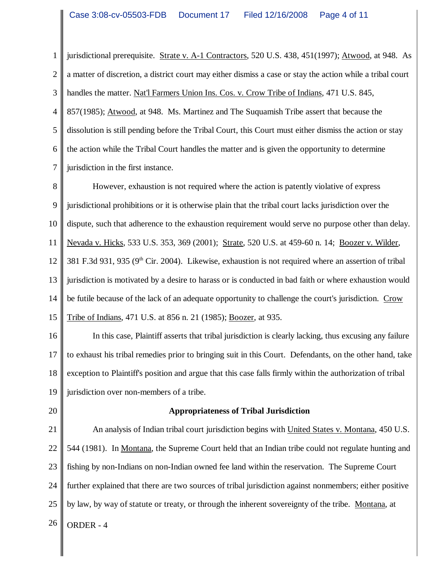1 2 3 4 5 6 7 jurisdictional prerequisite. Strate v. A-1 Contractors, 520 U.S. 438, 451(1997); Atwood, at 948. As a matter of discretion, a district court may either dismiss a case or stay the action while a tribal court handles the matter. Nat'l Farmers Union Ins. Cos. v. Crow Tribe of Indians, 471 U.S. 845, 857(1985); Atwood, at 948. Ms. Martinez and The Suquamish Tribe assert that because the dissolution is still pending before the Tribal Court, this Court must either dismiss the action or stay the action while the Tribal Court handles the matter and is given the opportunity to determine jurisdiction in the first instance.

8 9 10 11 12 13 14 15 However, exhaustion is not required where the action is patently violative of express jurisdictional prohibitions or it is otherwise plain that the tribal court lacks jurisdiction over the dispute, such that adherence to the exhaustion requirement would serve no purpose other than delay. Nevada v. Hicks, 533 U.S. 353, 369 (2001); Strate, 520 U.S. at 459-60 n. 14; Boozer v. Wilder, 381 F.3d 931, 935 (9<sup>th</sup> Cir. 2004). Likewise, exhaustion is not required where an assertion of tribal jurisdiction is motivated by a desire to harass or is conducted in bad faith or where exhaustion would be futile because of the lack of an adequate opportunity to challenge the court's jurisdiction. Crow Tribe of Indians, 471 U.S. at 856 n. 21 (1985); Boozer, at 935.

16 17 18 19 In this case, Plaintiff asserts that tribal jurisdiction is clearly lacking, thus excusing any failure to exhaust his tribal remedies prior to bringing suit in this Court. Defendants, on the other hand, take exception to Plaintiff's position and argue that this case falls firmly within the authorization of tribal jurisdiction over non-members of a tribe.

20

## **Appropriateness of Tribal Jurisdiction**

21 22 23 24 25  $26$  ORDER - 4 An analysis of Indian tribal court jurisdiction begins with United States v. Montana, 450 U.S. 544 (1981). In Montana, the Supreme Court held that an Indian tribe could not regulate hunting and fishing by non-Indians on non-Indian owned fee land within the reservation. The Supreme Court further explained that there are two sources of tribal jurisdiction against nonmembers; either positive by law, by way of statute or treaty, or through the inherent sovereignty of the tribe. Montana, at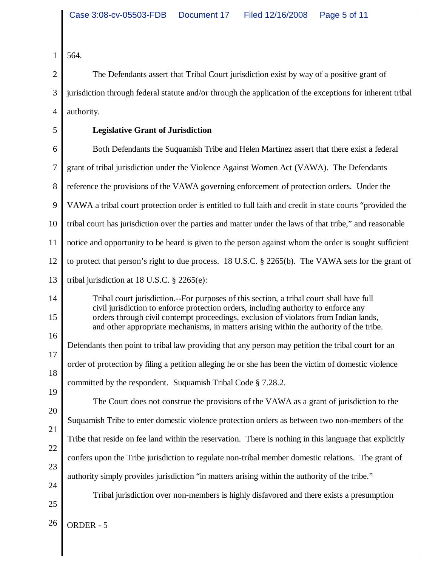1 564.

2 3 4 The Defendants assert that Tribal Court jurisdiction exist by way of a positive grant of jurisdiction through federal statute and/or through the application of the exceptions for inherent tribal authority.

5

## **Legislative Grant of Jurisdiction**

6 7 8 9 10 11 12 13 Both Defendants the Suquamish Tribe and Helen Martinez assert that there exist a federal grant of tribal jurisdiction under the Violence Against Women Act (VAWA). The Defendants reference the provisions of the VAWA governing enforcement of protection orders. Under the VAWA a tribal court protection order is entitled to full faith and credit in state courts "provided the tribal court has jurisdiction over the parties and matter under the laws of that tribe," and reasonable notice and opportunity to be heard is given to the person against whom the order is sought sufficient to protect that person's right to due process. 18 U.S.C. § 2265(b). The VAWA sets for the grant of tribal jurisdiction at 18 U.S.C. § 2265(e):

- 
- 14 15

16

Tribal court jurisdiction.--For purposes of this section, a tribal court shall have full civil jurisdiction to enforce protection orders, including authority to enforce any orders through civil contempt proceedings, exclusion of violators from Indian lands, and other appropriate mechanisms, in matters arising within the authority of the tribe.

17 18 Defendants then point to tribal law providing that any person may petition the tribal court for an order of protection by filing a petition alleging he or she has been the victim of domestic violence committed by the respondent. Suquamish Tribal Code § 7.28.2.

19 20 21 22 23 The Court does not construe the provisions of the VAWA as a grant of jurisdiction to the Suquamish Tribe to enter domestic violence protection orders as between two non-members of the Tribe that reside on fee land within the reservation. There is nothing in this language that explicitly confers upon the Tribe jurisdiction to regulate non-tribal member domestic relations. The grant of authority simply provides jurisdiction "in matters arising within the authority of the tribe."

 $24$ 

25

Tribal jurisdiction over non-members is highly disfavored and there exists a presumption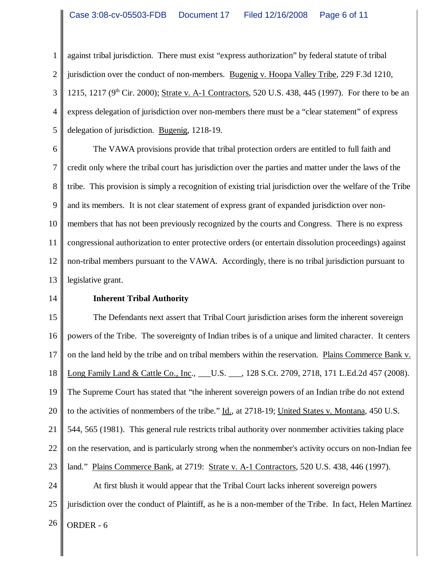1 2 3 4 5 against tribal jurisdiction. There must exist "express authorization" by federal statute of tribal jurisdiction over the conduct of non-members. Bugenig v. Hoopa Valley Tribe, 229 F.3d 1210, 1215, 1217 (9<sup>th</sup> Cir. 2000); Strate v. A-1 Contractors, 520 U.S. 438, 445 (1997). For there to be an express delegation of jurisdiction over non-members there must be a "clear statement" of express delegation of jurisdiction. Bugenig, 1218-19.

6 7 8 9 10 11 12 13 The VAWA provisions provide that tribal protection orders are entitled to full faith and credit only where the tribal court has jurisdiction over the parties and matter under the laws of the tribe. This provision is simply a recognition of existing trial jurisdiction over the welfare of the Tribe and its members. It is not clear statement of express grant of expanded jurisdiction over nonmembers that has not been previously recognized by the courts and Congress. There is no express congressional authorization to enter protective orders (or entertain dissolution proceedings) against non-tribal members pursuant to the VAWA. Accordingly, there is no tribal jurisdiction pursuant to legislative grant.

14

## **Inherent Tribal Authority**

15 16 17 18 19 20 21 22 23 The Defendants next assert that Tribal Court jurisdiction arises form the inherent sovereign powers of the Tribe. The sovereignty of Indian tribes is of a unique and limited character. It centers on the land held by the tribe and on tribal members within the reservation. Plains Commerce Bank v. Long Family Land & Cattle Co., Inc., \_\_\_\_U.S. \_\_\_, 128 S.Ct. 2709, 2718, 171 L.Ed.2d 457 (2008). The Supreme Court has stated that "the inherent sovereign powers of an Indian tribe do not extend to the activities of nonmembers of the tribe."  $\underline{Id}$ , at 2718-19; United States v. Montana, 450 U.S. 544, 565 (1981). This general rule restricts tribal authority over nonmember activities taking place on the reservation, and is particularly strong when the nonmember's activity occurs on non-Indian fee land." Plains Commerce Bank, at 2719: Strate v. A-1 Contractors, 520 U.S. 438, 446 (1997).

24 25  $26$  ORDER - 6 At first blush it would appear that the Tribal Court lacks inherent sovereign powers jurisdiction over the conduct of Plaintiff, as he is a non-member of the Tribe. In fact, Helen Martinez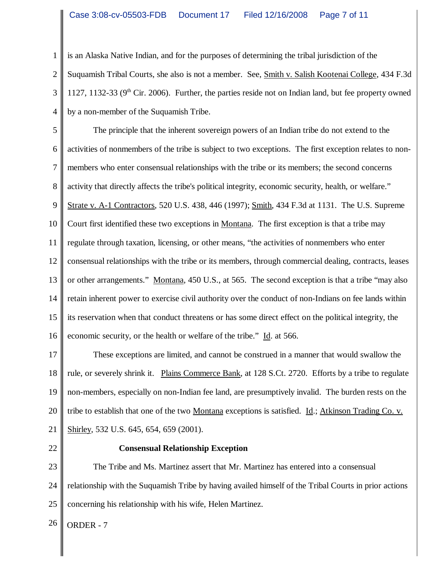1 2 3 4 is an Alaska Native Indian, and for the purposes of determining the tribal jurisdiction of the Suquamish Tribal Courts, she also is not a member. See, Smith v. Salish Kootenai College, 434 F.3d 1127, 1132-33 ( $9<sup>th</sup>$  Cir. 2006). Further, the parties reside not on Indian land, but fee property owned by a non-member of the Suquamish Tribe.

5 6 7 8 9 10 11 12 13 14 15 16 The principle that the inherent sovereign powers of an Indian tribe do not extend to the activities of nonmembers of the tribe is subject to two exceptions. The first exception relates to nonmembers who enter consensual relationships with the tribe or its members; the second concerns activity that directly affects the tribe's political integrity, economic security, health, or welfare." Strate v. A-1 Contractors, 520 U.S. 438, 446 (1997); Smith, 434 F.3d at 1131. The U.S. Supreme Court first identified these two exceptions in Montana. The first exception is that a tribe may regulate through taxation, licensing, or other means, "the activities of nonmembers who enter consensual relationships with the tribe or its members, through commercial dealing, contracts, leases or other arrangements." Montana, 450 U.S., at 565. The second exception is that a tribe "may also retain inherent power to exercise civil authority over the conduct of non-Indians on fee lands within its reservation when that conduct threatens or has some direct effect on the political integrity, the economic security, or the health or welfare of the tribe." Id. at 566.

17 18 19 20 21 These exceptions are limited, and cannot be construed in a manner that would swallow the rule, or severely shrink it. Plains Commerce Bank, at 128 S.Ct. 2720. Efforts by a tribe to regulate non-members, especially on non-Indian fee land, are presumptively invalid. The burden rests on the tribe to establish that one of the two <u>Montana</u> exceptions is satisfied. <u>Id.; Atkinson Trading Co. v.</u> Shirley, 532 U.S. 645, 654, 659 (2001).

22

## **Consensual Relationship Exception**

23 24 25 The Tribe and Ms. Martinez assert that Mr. Martinez has entered into a consensual relationship with the Suquamish Tribe by having availed himself of the Tribal Courts in prior actions concerning his relationship with his wife, Helen Martinez.

 $26$  ORDER - 7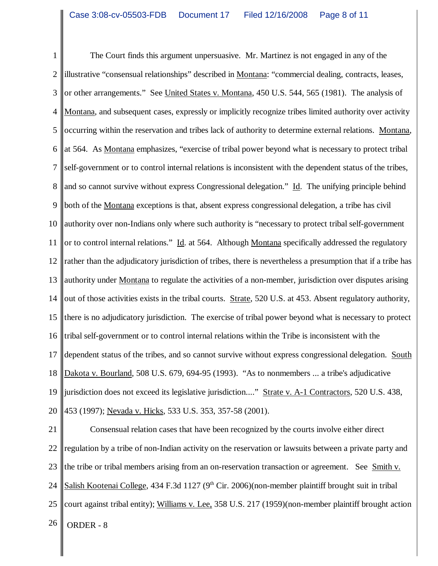1 2 3 4 5 6 7 8 9 10 11 12 13 14 15 16 17 18 19 20 The Court finds this argument unpersuasive. Mr. Martinez is not engaged in any of the illustrative "consensual relationships" described in Montana: "commercial dealing, contracts, leases, or other arrangements." See United States v. Montana, 450 U.S. 544, 565 (1981). The analysis of Montana, and subsequent cases, expressly or implicitly recognize tribes limited authority over activity occurring within the reservation and tribes lack of authority to determine external relations. Montana, at 564. As Montana emphasizes, "exercise of tribal power beyond what is necessary to protect tribal self-government or to control internal relations is inconsistent with the dependent status of the tribes, and so cannot survive without express Congressional delegation." Id. The unifying principle behind both of the Montana exceptions is that, absent express congressional delegation, a tribe has civil authority over non-Indians only where such authority is "necessary to protect tribal self-government or to control internal relations." Id. at 564. Although Montana specifically addressed the regulatory rather than the adjudicatory jurisdiction of tribes, there is nevertheless a presumption that if a tribe has authority under Montana to regulate the activities of a non-member, jurisdiction over disputes arising out of those activities exists in the tribal courts. Strate, 520 U.S. at 453. Absent regulatory authority, there is no adjudicatory jurisdiction. The exercise of tribal power beyond what is necessary to protect tribal self-government or to control internal relations within the Tribe is inconsistent with the dependent status of the tribes, and so cannot survive without express congressional delegation. South Dakota v. Bourland, 508 U.S. 679, 694-95 (1993). "As to nonmembers ... a tribe's adjudicative jurisdiction does not exceed its legislative jurisdiction...." Strate v. A-1 Contractors, 520 U.S. 438, 453 (1997); Nevada v. Hicks, 533 U.S. 353, 357-58 (2001).

21 22 23 24 25  $26$  ORDER - 8 Consensual relation cases that have been recognized by the courts involve either direct regulation by a tribe of non-Indian activity on the reservation or lawsuits between a private party and the tribe or tribal members arising from an on-reservation transaction or agreement. See Smith v. Salish Kootenai College, 434 F.3d 1127 ( $9<sup>th</sup>$  Cir. 2006)(non-member plaintiff brought suit in tribal court against tribal entity); Williams v. Lee, 358 U.S. 217 (1959)(non-member plaintiff brought action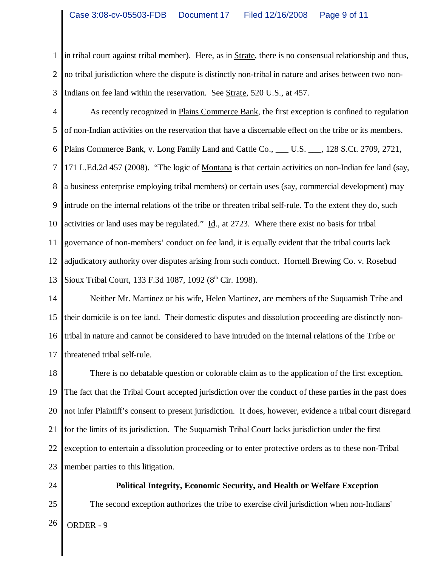1 2 3 in tribal court against tribal member). Here, as in  $Strate$ , there is no consensual relationship and thus, no tribal jurisdiction where the dispute is distinctly non-tribal in nature and arises between two non-Indians on fee land within the reservation. See <u>Strate</u>, 520 U.S., at 457.

4 5 6 7 8 9 10 11 12 13 As recently recognized in Plains Commerce Bank, the first exception is confined to regulation of non-Indian activities on the reservation that have a discernable effect on the tribe or its members. Plains Commerce Bank, v. Long Family Land and Cattle Co., \_\_\_ U.S. \_\_\_, 128 S.Ct. 2709, 2721, 171 L.Ed.2d 457 (2008). "The logic of Montana is that certain activities on non-Indian fee land (say, a business enterprise employing tribal members) or certain uses (say, commercial development) may intrude on the internal relations of the tribe or threaten tribal self-rule. To the extent they do, such activities or land uses may be regulated."  $\underline{Id}$ , at 2723. Where there exist no basis for tribal governance of non-members' conduct on fee land, it is equally evident that the tribal courts lack adjudicatory authority over disputes arising from such conduct. Hornell Brewing Co. v. Rosebud Sioux Tribal Court, 133 F.3d 1087, 1092 (8<sup>th</sup> Cir. 1998).

14 15 16 17 Neither Mr. Martinez or his wife, Helen Martinez, are members of the Suquamish Tribe and their domicile is on fee land. Their domestic disputes and dissolution proceeding are distinctly nontribal in nature and cannot be considered to have intruded on the internal relations of the Tribe or threatened tribal self-rule.

18 19 20 21 22 23 There is no debatable question or colorable claim as to the application of the first exception. The fact that the Tribal Court accepted jurisdiction over the conduct of these parties in the past does not infer Plaintiff's consent to present jurisdiction. It does, however, evidence a tribal court disregard for the limits of its jurisdiction. The Suquamish Tribal Court lacks jurisdiction under the first exception to entertain a dissolution proceeding or to enter protective orders as to these non-Tribal member parties to this litigation.

24

25

**Political Integrity, Economic Security, and Health or Welfare Exception**

The second exception authorizes the tribe to exercise civil jurisdiction when non-Indians'

 $26$  ORDER - 9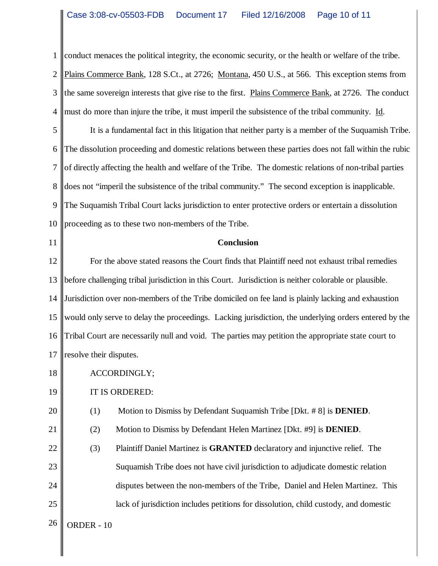1 2 3 4 conduct menaces the political integrity, the economic security, or the health or welfare of the tribe. Plains Commerce Bank, 128 S.Ct., at 2726; Montana, 450 U.S., at 566. This exception stems from the same sovereign interests that give rise to the first. Plains Commerce Bank, at 2726. The conduct must do more than injure the tribe, it must imperil the subsistence of the tribal community. Id.

5 6 7 8 9 10 It is a fundamental fact in this litigation that neither party is a member of the Suquamish Tribe. The dissolution proceeding and domestic relations between these parties does not fall within the rubic of directly affecting the health and welfare of the Tribe. The domestic relations of non-tribal parties does not "imperil the subsistence of the tribal community." The second exception is inapplicable. The Suquamish Tribal Court lacks jurisdiction to enter protective orders or entertain a dissolution proceeding as to these two non-members of the Tribe.

11

#### **Conclusion**

12 13 14 15 16 17 For the above stated reasons the Court finds that Plaintiff need not exhaust tribal remedies before challenging tribal jurisdiction in this Court. Jurisdiction is neither colorable or plausible. Jurisdiction over non-members of the Tribe domiciled on fee land is plainly lacking and exhaustion would only serve to delay the proceedings. Lacking jurisdiction, the underlying orders entered by the Tribal Court are necessarily null and void. The parties may petition the appropriate state court to resolve their disputes.

- 18 ACCORDINGLY;
- 19 IT IS ORDERED:
- 20 (1) Motion to Dismiss by Defendant Suquamish Tribe [Dkt. # 8] is **DENIED**.
- 21 (2) Motion to Dismiss by Defendant Helen Martinez [Dkt. #9] is **DENIED**.
- 22 23 24 25 (3) Plaintiff Daniel Martinez is **GRANTED** declaratory and injunctive relief. The Suquamish Tribe does not have civil jurisdiction to adjudicate domestic relation disputes between the non-members of the Tribe, Daniel and Helen Martinez. This lack of jurisdiction includes petitions for dissolution, child custody, and domestic

 $26$  ORDER - 10